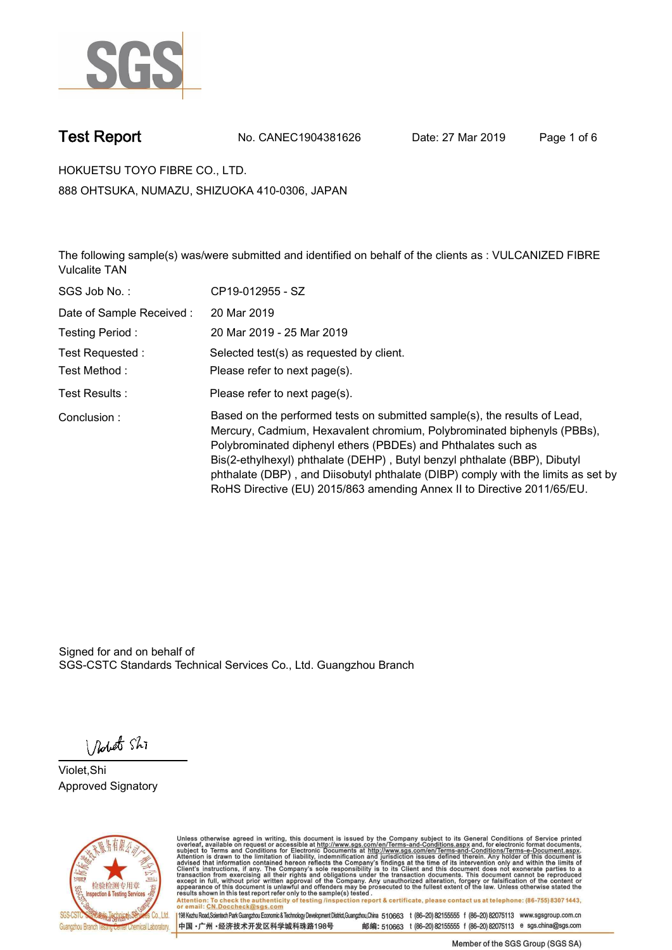

**Test Report. No. CANEC1904381626 Date: 27 Mar 2019. Page 1 of 6.**

**HOKUETSU TOYO FIBRE CO., LTD.. 888 OHTSUKA, NUMAZU, SHIZUOKA 410-0306, JAPAN**

**The following sample(s) was/were submitted and identified on behalf of the clients as : VULCANIZED FIBRE Vulcalite TAN.**

| SGS Job No.:             | CP19-012955 - SZ                                                                                                                                                                                                                                                                                                                                                                                                                                                   |
|--------------------------|--------------------------------------------------------------------------------------------------------------------------------------------------------------------------------------------------------------------------------------------------------------------------------------------------------------------------------------------------------------------------------------------------------------------------------------------------------------------|
| Date of Sample Received: | 20 Mar 2019                                                                                                                                                                                                                                                                                                                                                                                                                                                        |
| Testing Period:          | 20 Mar 2019 - 25 Mar 2019                                                                                                                                                                                                                                                                                                                                                                                                                                          |
| Test Requested:          | Selected test(s) as requested by client.                                                                                                                                                                                                                                                                                                                                                                                                                           |
| Test Method:             | Please refer to next page(s).                                                                                                                                                                                                                                                                                                                                                                                                                                      |
| Test Results :           | Please refer to next page(s).                                                                                                                                                                                                                                                                                                                                                                                                                                      |
| Conclusion:              | Based on the performed tests on submitted sample(s), the results of Lead,<br>Mercury, Cadmium, Hexavalent chromium, Polybrominated biphenyls (PBBs),<br>Polybrominated diphenyl ethers (PBDEs) and Phthalates such as<br>Bis(2-ethylhexyl) phthalate (DEHP), Butyl benzyl phthalate (BBP), Dibutyl<br>phthalate (DBP), and Diisobutyl phthalate (DIBP) comply with the limits as set by<br>RoHS Directive (EU) 2015/863 amending Annex II to Directive 2011/65/EU. |

Signed for and on behalf of SGS-CSTC Standards Technical Services Co., Ltd. Guangzhou Branch.

Nobet Shi

**Violet,Shi. Approved Signatory.**



Unless otherwise agreed in writing, this document is issued by the Company subject to its General Conditions of Service printed<br>overleaf, available on request or accessible at http://www.sgs.com/en/Terms-and-Conditions.asp Attention: To check the authenticity of testing /inspection report & certificate, please contact us at telephone: (86-755) 8307 1443,<br>Attention: To check the authenticity of testing /inspection report & certificate, please

198 Kezhu Road,Scientech Park Guangzhou Economic & Technology Development District,Guangzhou,China 510663 t (86-20) 82155555 f (86-20) 82075113 www.sgsgroup.com.cn 邮编: 510663 t (86-20) 82155555 f (86-20) 82075113 e sgs.china@sgs.com 中国·广州·经济技术开发区科学城科珠路198号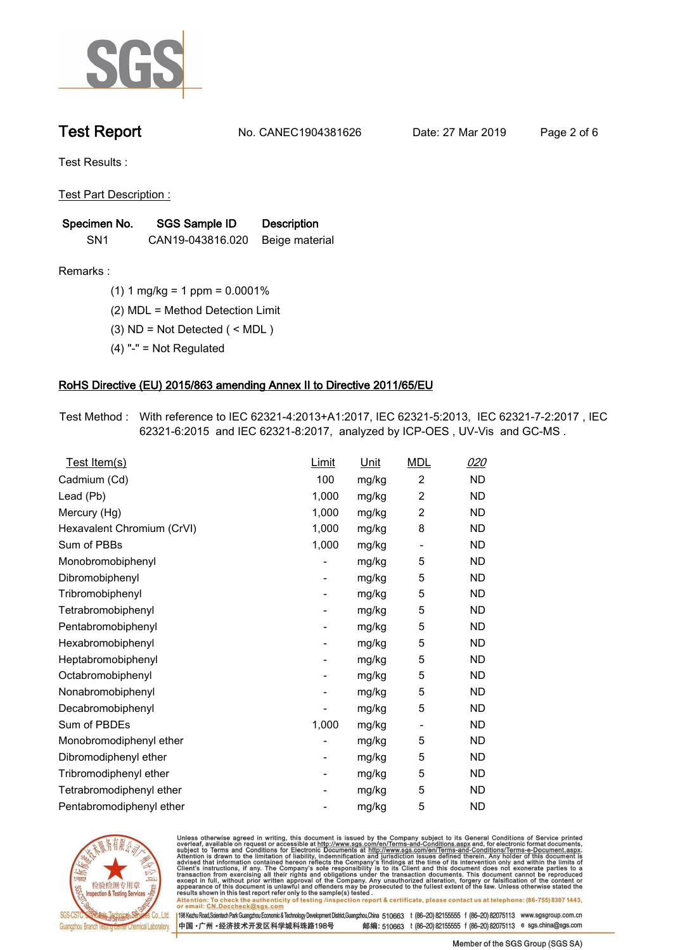

**Test Report. No. CANEC1904381626 Date: 27 Mar 2019. Page 2 of 6.**

**Test Results :.**

**Test Part Description :.**

| Specimen No.    | SGS Sample ID                   | <b>Description</b> |  |
|-----------------|---------------------------------|--------------------|--|
| SN <sub>1</sub> | CAN19-043816.020 Beige material |                    |  |

**Remarks :.(1) 1 mg/kg = 1 ppm = 0.0001%.**

**(2) MDL = Method Detection Limit.**

**(3) ND = Not Detected ( < MDL ).**

**(4) "-" = Not Regulated.**

### **RoHS Directive (EU) 2015/863 amending Annex II to Directive 2011/65/EU.**

**Test Method :. With reference to IEC 62321-4:2013+A1:2017, IEC 62321-5:2013, IEC 62321-7-2:2017 , IEC 62321-6:2015 and IEC 62321-8:2017, analyzed by ICP-OES , UV-Vis and GC-MS ..**

| Test Item(s)               | <u>Limit</u>             | <u>Unit</u> | <b>MDL</b>               | 020       |
|----------------------------|--------------------------|-------------|--------------------------|-----------|
| Cadmium (Cd)               | 100                      | mg/kg       | $\overline{2}$           | <b>ND</b> |
| Lead (Pb)                  | 1,000                    | mg/kg       | $\overline{c}$           | <b>ND</b> |
| Mercury (Hg)               | 1,000                    | mg/kg       | 2                        | <b>ND</b> |
| Hexavalent Chromium (CrVI) | 1,000                    | mg/kg       | 8                        | <b>ND</b> |
| Sum of PBBs                | 1,000                    | mg/kg       | $\overline{\phantom{a}}$ | <b>ND</b> |
| Monobromobiphenyl          |                          | mg/kg       | 5                        | <b>ND</b> |
| Dibromobiphenyl            | $\overline{\phantom{a}}$ | mg/kg       | 5                        | <b>ND</b> |
| Tribromobiphenyl           | ۰                        | mg/kg       | 5                        | <b>ND</b> |
| Tetrabromobiphenyl         |                          | mg/kg       | 5                        | <b>ND</b> |
| Pentabromobiphenyl         | $\overline{\phantom{a}}$ | mg/kg       | 5                        | <b>ND</b> |
| Hexabromobiphenyl          |                          | mg/kg       | 5                        | ND        |
| Heptabromobiphenyl         | $\overline{\phantom{a}}$ | mg/kg       | 5                        | <b>ND</b> |
| Octabromobiphenyl          | $\overline{\phantom{a}}$ | mg/kg       | 5                        | <b>ND</b> |
| Nonabromobiphenyl          |                          | mg/kg       | 5                        | <b>ND</b> |
| Decabromobiphenyl          |                          | mg/kg       | 5                        | <b>ND</b> |
| Sum of PBDEs               | 1,000                    | mg/kg       | $\overline{\phantom{a}}$ | <b>ND</b> |
| Monobromodiphenyl ether    |                          | mg/kg       | 5                        | <b>ND</b> |
| Dibromodiphenyl ether      | ۰                        | mg/kg       | 5                        | <b>ND</b> |
| Tribromodiphenyl ether     | -                        | mg/kg       | 5                        | <b>ND</b> |
| Tetrabromodiphenyl ether   |                          | mg/kg       | 5                        | <b>ND</b> |
| Pentabromodiphenyl ether   |                          | mg/kg       | 5                        | <b>ND</b> |
|                            |                          |             |                          |           |



Unless otherwise agreed in writing, this document is issued by the Company subject to its General Conditions of Service printed<br>overleaf, available on request or accessible at http://www.sgs.com/en/Terms-and-Conditions.asp Attention: To check the authenticity of testing /inspection report & certificate, please contact us at telephone: (86-755) 8307 1443,<br>Attention: To check the authenticity of testing /inspection report & certificate, please

198 Kezhu Road,Scientech Park Guangzhou Economic & Technology Development District,Guangzhou,China 510663 t (86-20) 82155555 f (86-20) 82075113 www.sgsgroup.com.cn 邮编: 510663 t (86-20) 82155555 f (86-20) 82075113 e sgs.china@sgs.com 中国·广州·经济技术开发区科学城科珠路198号

Member of the SGS Group (SGS SA)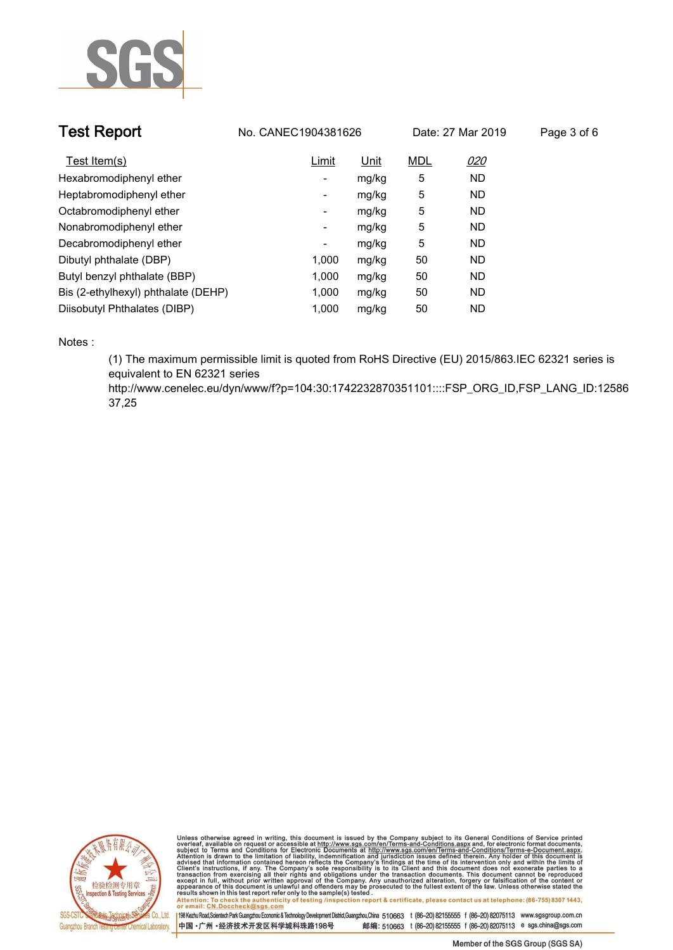

| <b>Test Report</b>                  | No. CANEC1904381626 |       | Date: 27 Mar 2019 |           | Page 3 of 6 |
|-------------------------------------|---------------------|-------|-------------------|-----------|-------------|
| Test Item(s)                        | Limit               | Unit  | <b>MDL</b>        | 020       |             |
| Hexabromodiphenyl ether             | -                   | mg/kg | 5                 | <b>ND</b> |             |
| Heptabromodiphenyl ether            | ۰                   | mg/kg | 5                 | <b>ND</b> |             |
| Octabromodiphenyl ether             | Ξ.                  | mg/kg | 5                 | <b>ND</b> |             |
| Nonabromodiphenyl ether             | -                   | mg/kg | 5                 | <b>ND</b> |             |
| Decabromodiphenyl ether             | ٠                   | mg/kg | 5                 | <b>ND</b> |             |
| Dibutyl phthalate (DBP)             | 1.000               | mg/kg | 50                | <b>ND</b> |             |
| Butyl benzyl phthalate (BBP)        | 1.000               | mg/kg | 50                | <b>ND</b> |             |
| Bis (2-ethylhexyl) phthalate (DEHP) | 1.000               | mg/kg | 50                | <b>ND</b> |             |
| Diisobutyl Phthalates (DIBP)        | 1.000               | mg/kg | 50                | <b>ND</b> |             |

**Notes :.**

**(1) The maximum permissible limit is quoted from RoHS Directive (EU) 2015/863.IEC 62321 series is equivalent to EN 62321 series** 

**http://www.cenelec.eu/dyn/www/f?p=104:30:1742232870351101::::FSP\_ORG\_ID,FSP\_LANG\_ID:12586 37,25.**



Unless otherwise agreed in writing, this document is issued by the Company subject to its General Conditions of Service printed<br>overleaf, available on request or accessible at http://www.sgs.com/en/Terms-and-Conditions.asp Attention: To check the authenticity of testing /inspection report & certificate, please contact us at telephone: (86-755) 8307 1443,<br>Attention: To check the authenticity of testing /inspection report & certificate, please

198 Kezhu Road,Scientech Park Guangzhou Economic & Technology Development District,Guangzhou,China 510663 t (86-20) 82155555 f (86-20) 82075113 www.sgsgroup.com.cn 中国·广州·经济技术开发区科学城科珠路198号 邮编: 510663 t (86-20) 82155555 f (86-20) 82075113 e sgs.china@sgs.com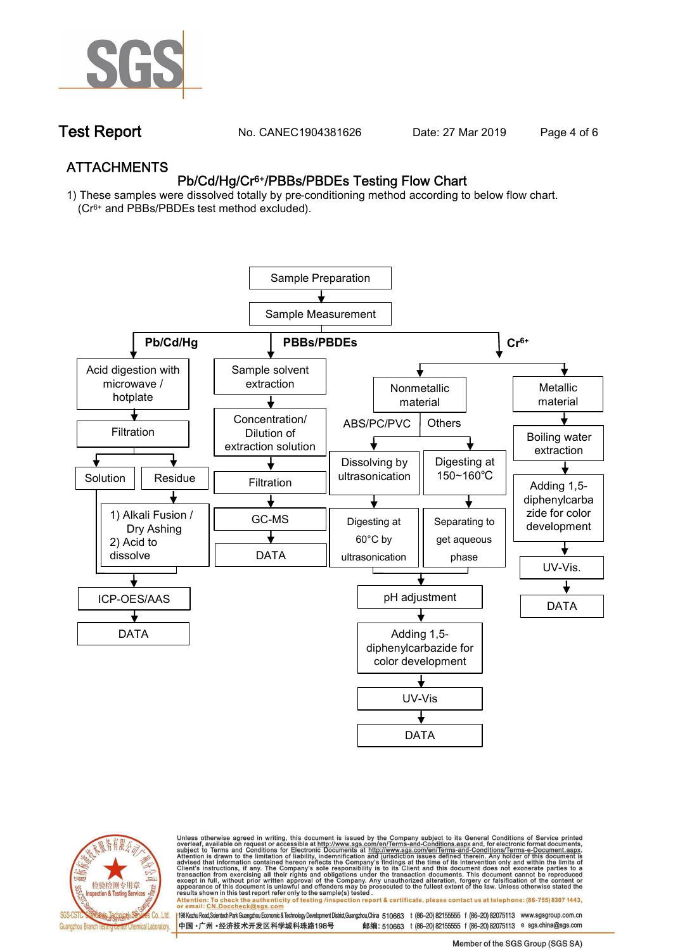

**Test Report. No. CANEC1904381626** Date: 27 Mar 2019 Page 4 of 6

## **ATTACHMENTS Pb/Cd/Hg/Cr6+/PBBs/PBDEs Testing Flow Chart**

**1) These samples were dissolved totally by pre-conditioning method according to below flow chart. (Cr6+ and PBBs/PBDEs test method excluded).**





Unless otherwise agreed in writing, this document is issued by the Company subject to its General Conditions of Service printed<br>overleaf, available on request or accessible at http://www.sgs.com/en/Terms-and-Conditions.asp

résults shown in this test report refer only to the sample(s) tésted .<br>Attention: To check the authenticity of testing /inspection report & certificate, please contact us at telephone: (86-755) 8307 1443,<br>or email: <u>CN.Doc</u>

198 Kezhu Road,Scientech Park Guangzhou Economic & Technology Development District,Guangzhou,China 510663 t (86-20) 82155555 f (86-20) 82075113 www.sgsgroup.com.cn 邮编: 510663 t (86-20) 82155555 f (86-20) 82075113 e sgs.china@sgs.com 中国·广州·经济技术开发区科学城科珠路198号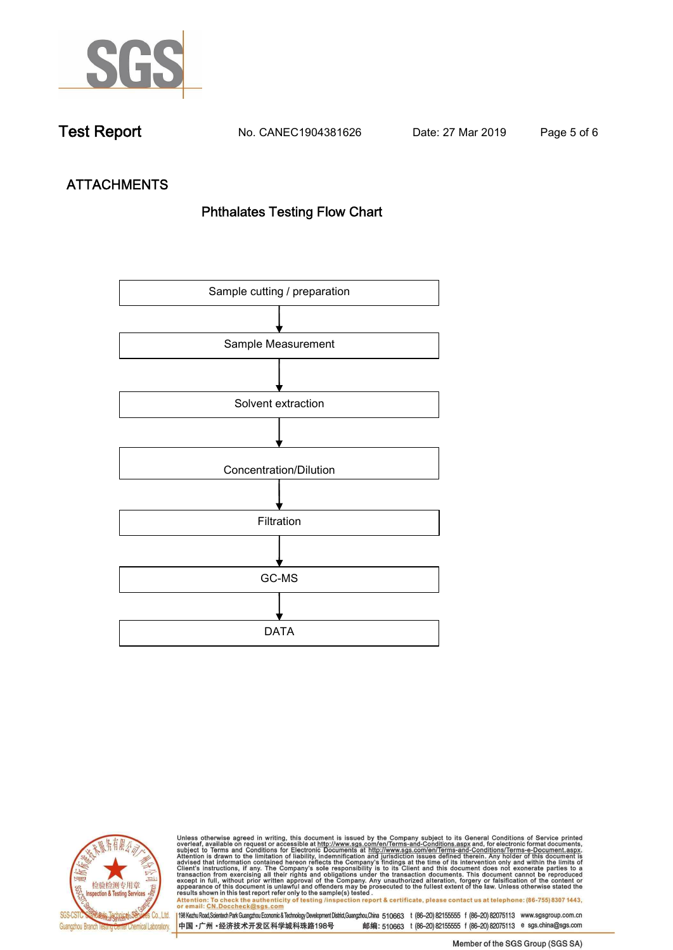

**Test Report. No. CANEC1904381626 Date: 27 Mar 2019. Page 5 of 6.**

# **ATTACHMENTS Phthalates Testing Flow Chart**





Unless otherwise agreed in writing, this document is issued by the Company subject to its General Conditions of Service printed<br>overleaf, available on request or accessible at http://www.sgs.com/en/Terms-and-Conditions.asp results shown in this test report refer only to the sample(s) tested .<br>Attention: To check the authenticity of testing /inspection report & certificate, please contact us at telephone: (86-755) 8307 1443,<br>or email: <u>CN.Doc</u>

198 Kezhu Road,Scientech Park Guangzhou Economic & Technology Development District,Guangzhou,China 510663 t (86-20) 82155555 f (86-20) 82075113 www.sgsgroup.com.cn 中国·广州·经济技术开发区科学城科珠路198号 邮编: 510663 t (86-20) 82155555 f (86-20) 82075113 e sgs.china@sgs.com